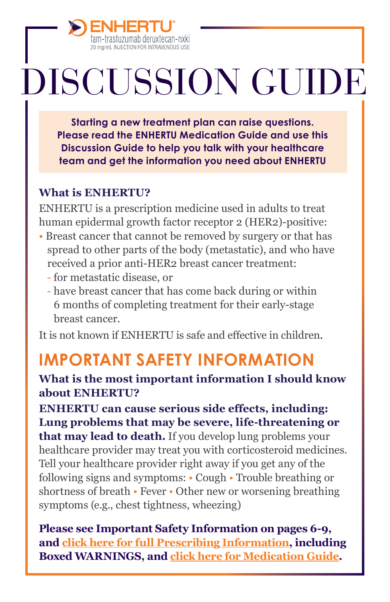

# DISCUSSION GUIDE

**Starting a new treatment plan can raise questions. Please read the ENHERTU Medication Guide and use this Discussion Guide to help you talk with your healthcare team and get the information you need about ENHERTU**

#### **What is ENHERTU?**

ENHERTU is a prescription medicine used in adults to treat human epidermal growth factor receptor 2 (HER2)-positive:

- Breast cancer that cannot be removed by surgery or that has spread to other parts of the body (metastatic), and who have received a prior anti-HER2 breast cancer treatment:
	- for metastatic disease, or
	- have breast cancer that has come back during or within 6 months of completing treatment for their early-stage breast cancer.

It is not known if ENHERTU is safe and effective in children.

# **IMPORTANT SAFETY INFORMATION**

#### **What is the most important information I should know about ENHERTU?**

**ENHERTU can cause serious side effects, including: Lung problems that may be severe, life-threatening or that may lead to death.** If you develop lung problems your healthcare provider may treat you with corticosteroid medicines. Tell your healthcare provider right away if you get any of the following signs and symptoms: • Cough • Trouble breathing or shortness of breath • Fever • Other new or worsening breathing symptoms (e.g., chest tightness, wheezing)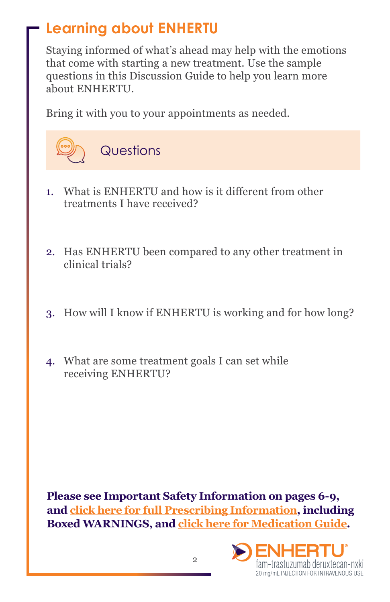# **Learning about ENHERTU**

Staying informed of what's ahead may help with the emotions that come with starting a new treatment. Use the sample questions in this Discussion Guide to help you learn more about ENHERTU.

Bring it with you to your appointments as needed.



- 1. What is ENHERTU and how is it different from other treatments I have received?
- 2. Has ENHERTU been compared to any other treatment in clinical trials?
- 3. How will I know if ENHERTU is working and for how long?
- 4. What are some treatment goals I can set while receiving ENHERTU?

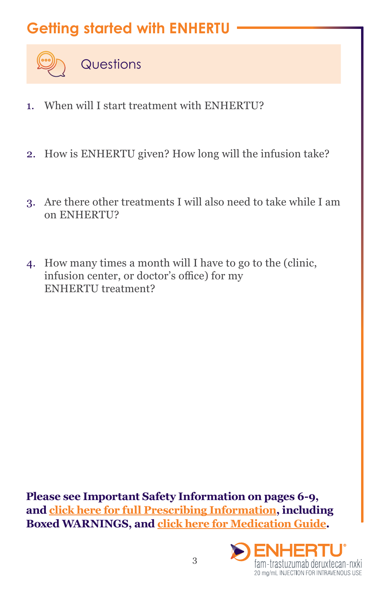## **Getting started with ENHERTU**



- 1. When will I start treatment with ENHERTU?
- 2. How is ENHERTU given? How long will the infusion take?
- 3. Are there other treatments I will also need to take while I am on ENHERTU?
- 4. How many times a month will I have to go to the (clinic, infusion center, or doctor's office) for my ENHERTU treatment?

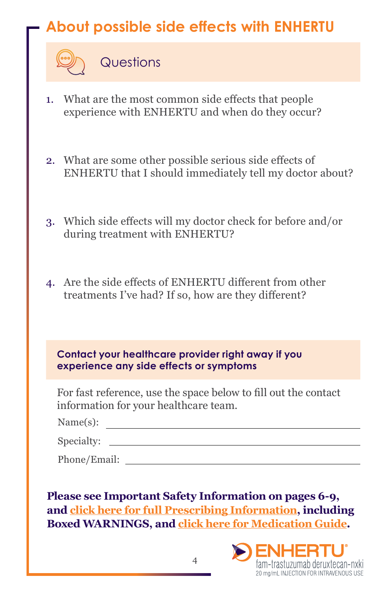# **About possible side effects with ENHERTU**

**Questions** 

- 1. What are the most common side effects that people experience with ENHERTU and when do they occur?
- 2. What are some other possible serious side effects of ENHERTU that I should immediately tell my doctor about?
- 3. Which side effects will my doctor check for before and/or during treatment with ENHERTU?
- 4. Are the side effects of ENHERTU different from other treatments I've had? If so, how are they different?

| Contact your healthcare provider right away if you<br>experience any side effects or symptoms                                                                                      |
|------------------------------------------------------------------------------------------------------------------------------------------------------------------------------------|
| For fast reference, use the space below to fill out the contact<br>information for your healthcare team.                                                                           |
| Name(s): $\qquad \qquad$                                                                                                                                                           |
| Specialty:                                                                                                                                                                         |
|                                                                                                                                                                                    |
|                                                                                                                                                                                    |
| Please see Important Safety Information on pages 6-9,<br>and click here for full Prescribing Information, including<br><b>Boxed WARNINGS, and click here for Medication Guide.</b> |
| :NILIED"                                                                                                                                                                           |

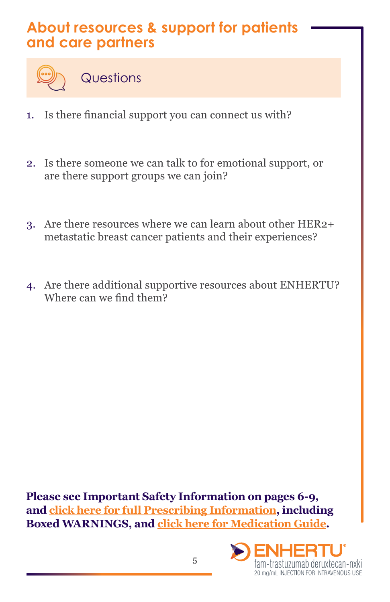### **About resources & support for patients and care partners**



**Questions** 

- 1. Is there financial support you can connect us with?
- 2. Is there someone we can talk to for emotional support, or are there support groups we can join?
- 3. Are there resources where we can learn about other HER2+ metastatic breast cancer patients and their experiences?
- 4. Are there additional supportive resources about ENHERTU? Where can we find them?

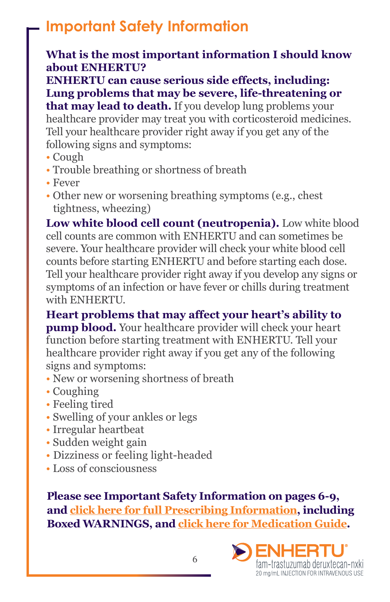## **Important Safety Information**

#### **What is the most important information I should know about ENHERTU?**

**ENHERTU can cause serious side effects, including: Lung problems that may be severe, life-threatening or** 

**that may lead to death.** If you develop lung problems your healthcare provider may treat you with corticosteroid medicines. Tell your healthcare provider right away if you get any of the following signs and symptoms:

- Cough
- Trouble breathing or shortness of breath
- Fever
- Other new or worsening breathing symptoms (e.g., chest tightness, wheezing)

**Low white blood cell count (neutropenia).** Low white blood cell counts are common with ENHERTU and can sometimes be severe. Your healthcare provider will check your white blood cell counts before starting ENHERTU and before starting each dose. Tell your healthcare provider right away if you develop any signs or symptoms of an infection or have fever or chills during treatment with ENHERTU.

**Heart problems that may affect your heart's ability to pump blood.** Your healthcare provider will check your heart function before starting treatment with ENHERTU. Tell your healthcare provider right away if you get any of the following signs and symptoms:

- New or worsening shortness of breath
- Coughing
- Feeling tired
- Swelling of your ankles or legs
- Irregular heartbeat
- Sudden weight gain
- Dizziness or feeling light-headed
- Loss of consciousness

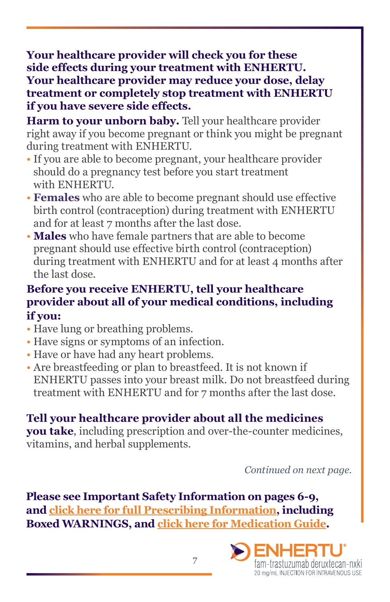**Your healthcare provider will check you for these side effects during your treatment with ENHERTU. Your healthcare provider may reduce your dose, delay treatment or completely stop treatment with ENHERTU if you have severe side effects.**

Harm to your unborn baby. Tell your healthcare provider right away if you become pregnant or think you might be pregnant during treatment with ENHERTU.

- If you are able to become pregnant, your healthcare provider should do a pregnancy test before you start treatment with ENHERTU.
- **Females** who are able to become pregnant should use effective birth control (contraception) during treatment with ENHERTU and for at least 7 months after the last dose.
- **Males** who have female partners that are able to become pregnant should use effective birth control (contraception) during treatment with ENHERTU and for at least 4 months after the last dose.

#### **Before you receive ENHERTU, tell your healthcare provider about all of your medical conditions, including if you:**

- Have lung or breathing problems.
- Have signs or symptoms of an infection.
- Have or have had any heart problems.
- Are breastfeeding or plan to breastfeed. It is not known if ENHERTU passes into your breast milk. Do not breastfeed during treatment with ENHERTU and for 7 months after the last dose.

#### **Tell your healthcare provider about all the medicines**

**you take**, including prescription and over-the-counter medicines, vitamins, and herbal supplements.

*Continued on next page.*

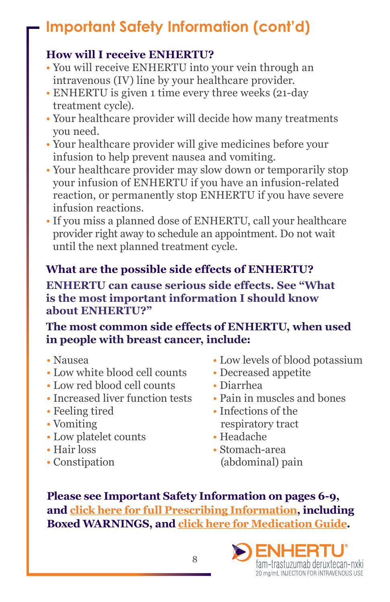# **Important Safety Information (cont'd)**

#### **How will I receive ENHERTU?**

- You will receive ENHERTU into your vein through an intravenous (IV) line by your healthcare provider.
- ENHERTU is given 1 time every three weeks (21-day treatment cycle).
- Your healthcare provider will decide how many treatments you need.
- Your healthcare provider will give medicines before your infusion to help prevent nausea and vomiting.
- Your healthcare provider may slow down or temporarily stop your infusion of ENHERTU if you have an infusion-related reaction, or permanently stop ENHERTU if you have severe infusion reactions.
- If you miss a planned dose of ENHERTU, call your healthcare provider right away to schedule an appointment. Do not wait until the next planned treatment cycle.

#### **What are the possible side effects of ENHERTU?**

**ENHERTU can cause serious side effects. See "What is the most important information I should know about ENHERTU?"**

#### **The most common side effects of ENHERTU, when used in people with breast cancer, include:**

- Nausea
- Low white blood cell counts
- Low red blood cell counts
- Increased liver function tests
- Feeling tired
- Vomiting
- Low platelet counts
- Hair loss
- Constipation
- Low levels of blood potassium
- Decreased appetite
- Diarrhea
- Pain in muscles and bones
- Infections of the respiratory tract
- Headache
- Stomach-area (abdominal) pain

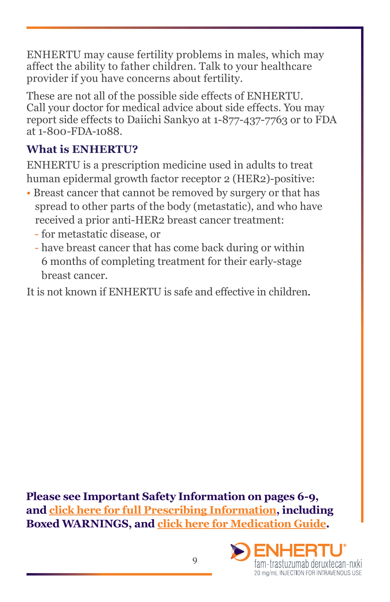ENHERTU may cause fertility problems in males, which may affect the ability to father children. Talk to your healthcare provider if you have concerns about fertility.

These are not all of the possible side effects of ENHERTU. Call your doctor for medical advice about side effects. You may report side effects to Daiichi Sankyo at 1-877-437-7763 or to FDA at 1-800-FDA-1088.

#### **What is ENHERTU?**

ENHERTU is a prescription medicine used in adults to treat human epidermal growth factor receptor 2 (HER2)-positive:

- Breast cancer that cannot be removed by surgery or that has spread to other parts of the body (metastatic), and who have received a prior anti-HER2 breast cancer treatment:
	- for metastatic disease, or
	- have breast cancer that has come back during or within 6 months of completing treatment for their early-stage breast cancer.

It is not known if ENHERTU is safe and effective in children.